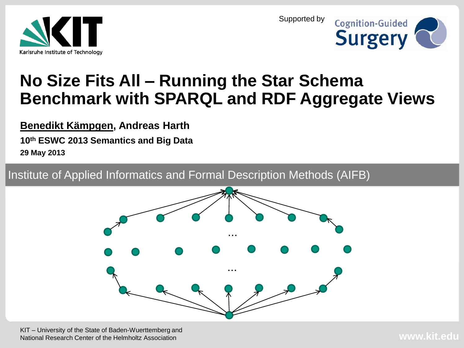



#### **No Size Fits All – Running the Star Schema Benchmark with SPARQL and RDF Aggregate Views**

**Benedikt Kämpgen, Andreas Harth**

**10th ESWC 2013 Semantics and Big Data 29 May 2013**

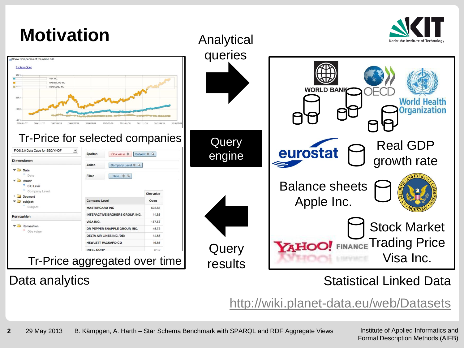

#### Data analytics

#### Statistical Linked Data

<http://wiki.planet-data.eu/web/Datasets>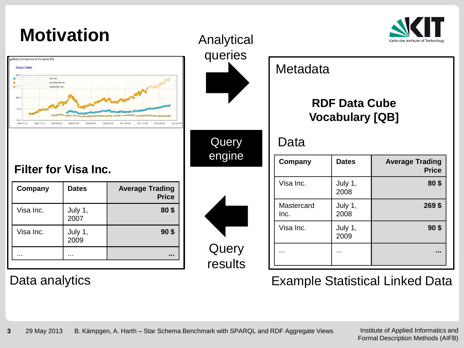| <b>Motivation</b><br>Show Companies of the same SIC<br><b>Explain Open</b><br>VISA INC.<br>MASTERCARD INC<br>图427.0<br>COMSCORE, INC.<br>269.5<br>112.0<br>2006/01/27<br>2007/09/28 |                             | Analytical<br>queries                  | Karlsruhe Institute of Technology |                                                |                 |                                        |
|-------------------------------------------------------------------------------------------------------------------------------------------------------------------------------------|-----------------------------|----------------------------------------|-----------------------------------|------------------------------------------------|-----------------|----------------------------------------|
|                                                                                                                                                                                     |                             |                                        | Metadata                          | <b>RDF Data Cube</b><br><b>Vocabulary [QB]</b> |                 |                                        |
|                                                                                                                                                                                     |                             |                                        | Query                             | Data                                           |                 |                                        |
|                                                                                                                                                                                     | <b>Filter for Visa Inc.</b> |                                        | engine                            | Company                                        | <b>Dates</b>    | <b>Average Trading</b><br><b>Price</b> |
| Company                                                                                                                                                                             | <b>Dates</b>                | <b>Average Trading</b><br><b>Price</b> |                                   | Visa Inc.                                      | July 1,<br>2008 | 80\$                                   |
| Visa Inc.                                                                                                                                                                           | July 1,<br>2007             | 80\$                                   |                                   | Mastercard<br>Inc.                             | July 1,<br>2008 | 269 \$                                 |
| Visa Inc.                                                                                                                                                                           | July 1,<br>2009             | 90 <sup>5</sup>                        |                                   | Visa Inc.                                      | July 1,<br>2009 | 90 <sup>5</sup>                        |
| $\sim$ $\sim$                                                                                                                                                                       | $\cdots$                    | $\sim$                                 | Query<br>results                  | $\cdots$                                       | $\cdots$        | $\cdots$                               |

#### Data analytics Example Statistical Linked Data

 $\overline{\phantom{a}}$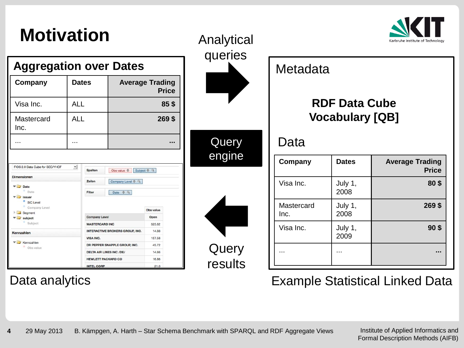### **Motivation**



| Company                                                  | <b>Dates</b> |                                               | <b>Average Trading</b>                              | <b>Price</b>   |                 |
|----------------------------------------------------------|--------------|-----------------------------------------------|-----------------------------------------------------|----------------|-----------------|
| Visa Inc.                                                | <b>ALL</b>   |                                               |                                                     |                | 85 <sup>5</sup> |
| Mastercard<br>Inc.                                       | AI I         |                                               |                                                     | 269\$          |                 |
|                                                          |              |                                               |                                                     |                |                 |
|                                                          |              |                                               |                                                     |                |                 |
| Date<br>Issuer<br><sup>8</sup> SIC Level                 |              | Zeilen<br>Filter                              | Company Level $\triangleq$ Q<br>Date $\triangleq$ Q |                |                 |
| Company Level<br>Segment                                 |              |                                               |                                                     | Obs value      |                 |
| subject<br>Subject                                       |              | <b>Company Level</b><br><b>MASTERCARD INC</b> |                                                     | Open<br>525.62 |                 |
|                                                          |              |                                               | <b>INTERACTIVE BROKERS GROUP, INC.</b>              | 14.88          |                 |
|                                                          |              | VISA INC.                                     |                                                     | 157.58         |                 |
|                                                          |              |                                               | DR PEPPER SNAPPLE GROUP, INC.                       | 45.72          |                 |
| Date<br>Kennzahlen<br><b>V</b> Kennzahlen<br>· Obs value |              | <b>DELTA AIR LINES INC /DE/</b>               |                                                     | 14.66          |                 |
|                                                          |              | <b>HEWLETT PACKARD CO</b>                     |                                                     | 16.86          |                 |

| Analytical |  |
|------------|--|
| queries    |  |
|            |  |
|            |  |
|            |  |
|            |  |
| Query      |  |
| engine     |  |
|            |  |
|            |  |
|            |  |
|            |  |
|            |  |
| Query      |  |
| results    |  |
|            |  |

#### **Company** | Dates | Average Trading **Price** Visa Inc.  $\vert$  July 1, 2008 **80 \$** Mastercard Inc. July 1, 2008 **269 \$** Data **Metadata RDF Data Cube Vocabulary [QB]**

Data analytics **Example Statistical Linked Data** 

... ... **...**

2009

Visa Inc.  $\vert$  July 1,

Institute of Applied Informatics and Formal Description Methods (AIFB)

**90 \$**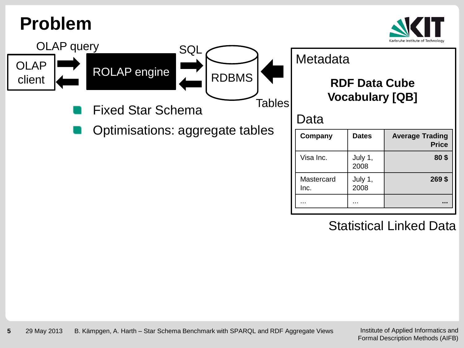#### **Problem**



**Price**

**80 \$**

**269 \$**



Statistical Linked Data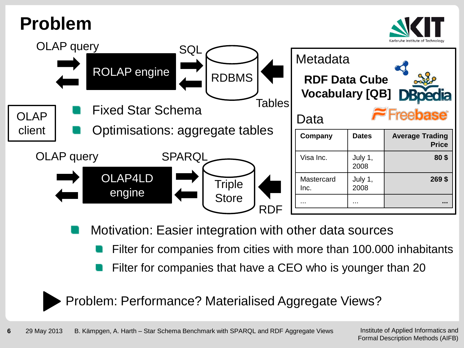### **Problem**





Motivation: Easier integration with other data sources

- Filter for companies from cities with more than 100.000 inhabitants
- Filter for companies that have a CEO who is younger than 20

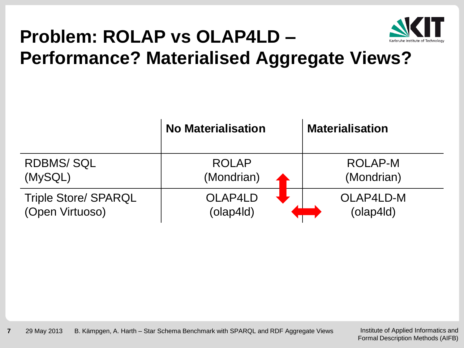

# **Problem: ROLAP vs OLAP4LD –**

**Performance? Materialised Aggregate Views?**

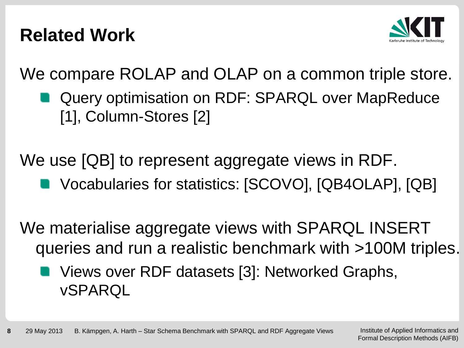#### **Related Work**



We compare ROLAP and OLAP on a common triple store.

Query optimisation on RDF: SPARQL over MapReduce [1], Column-Stores [2]

We use [QB] to represent aggregate views in RDF.

Vocabularies for statistics: [SCOVO], [QB4OLAP], [QB]

We materialise aggregate views with SPARQL INSERT queries and run a realistic benchmark with >100M triples.

Views over RDF datasets [3]: Networked Graphs, vSPARQL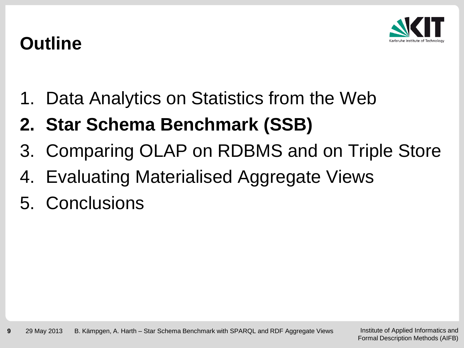

### **Outline**

- 1. Data Analytics on Statistics from the Web
- **2. Star Schema Benchmark (SSB)**
- 3. Comparing OLAP on RDBMS and on Triple Store
- 4. Evaluating Materialised Aggregate Views
- 5. Conclusions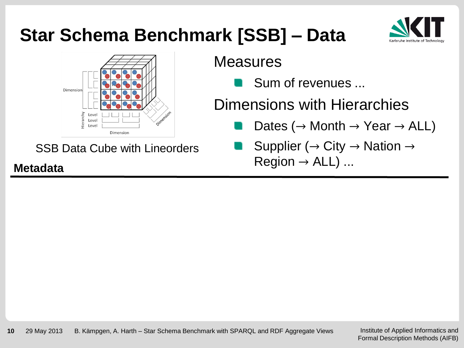### **Star Schema Benchmark [SSB] – Data**





SSB Data Cube with Lineorders

**Measures** 

Sum of revenues ...

Dimensions with Hierarchies

- Dates ( $\rightarrow$  Month  $\rightarrow$  Year  $\rightarrow$  ALL)
- Supplier ( $\rightarrow$  City  $\rightarrow$  Nation  $\rightarrow$ Region <sup>→</sup> ALL) ... **Metadata**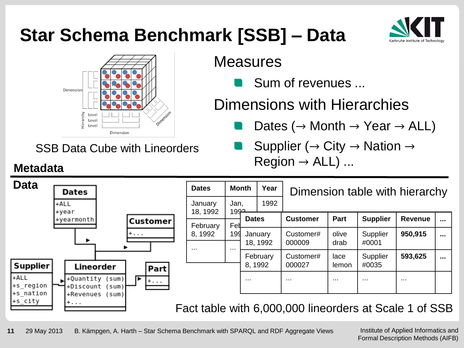### **Star Schema Benchmark [SSB] – Data**



SSB Data Cube with Lineorders

#### **Measures**

Sum of revenues ...

Dimensions with Hierarchies

- Dates ( $\rightarrow$  Month  $\rightarrow$  Year  $\rightarrow$  ALL)
- Supplier ( $\rightarrow$  City  $\rightarrow$  Nation  $\rightarrow$ Region <sup>→</sup> ALL) ... **Metadata**

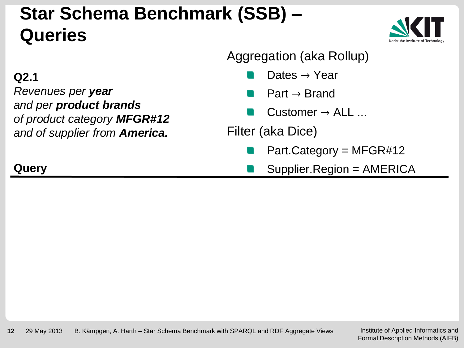### **Star Schema Benchmark (SSB) – Queries**



#### Aggregation (aka Rollup)

- Dates  $\rightarrow$  Year
- $Part \rightarrow Brand$
- $Cluster \rightarrow ALL$ ...

Filter (aka Dice)

- Part.Category =  $MFGR#12$
- Supplier.Region = AMERICA

#### **Q2.1**

*Revenues per year and per product brands of product category MFGR#12 and of supplier from America.*

#### **Query**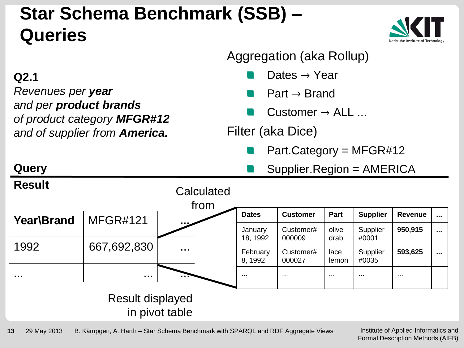### **Star Schema Benchmark (SSB) – Queries**



#### Aggregation (aka Rollup)

- Dates  $\rightarrow$  Year
- $Part \rightarrow Brand$
- $Cluster \rightarrow ALL$ ...

Filter (aka Dice)

- Part. Category =  $MFGR#12$
- Supplier.Region = AMERICA



Institute of Applied Informatics and Formal Description Methods (AIFB)

#### **Q2.1**

**Query**

*Revenues per year and per product brands of product category MFGR#12 and of supplier from America.*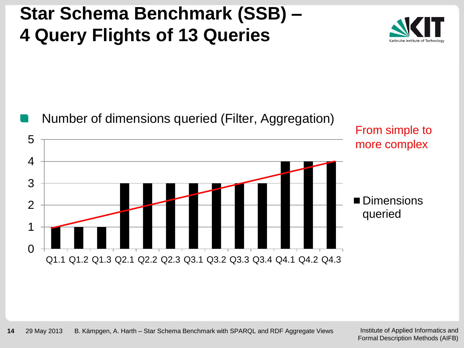### **Star Schema Benchmark (SSB) – 4 Query Flights of 13 Queries**



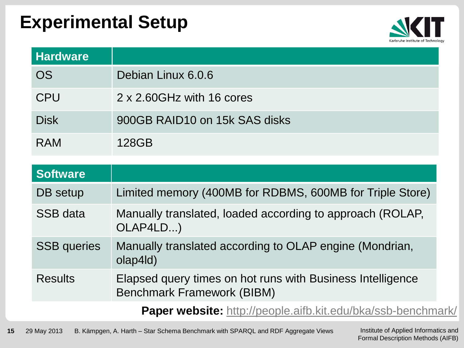#### **Experimental Setup**



| <b>Hardware</b> |                               |
|-----------------|-------------------------------|
| <b>OS</b>       | Debian Linux 6.0.6            |
| <b>CPU</b>      | 2 x 2.60GHz with 16 cores     |
| <b>Disk</b>     | 900GB RAID10 on 15k SAS disks |
| <b>RAM</b>      | 128GB                         |

| Software           |                                                                                                 |
|--------------------|-------------------------------------------------------------------------------------------------|
| DB setup           | Limited memory (400MB for RDBMS, 600MB for Triple Store)                                        |
| <b>SSB</b> data    | Manually translated, loaded according to approach (ROLAP,<br>OLAP4LD)                           |
| <b>SSB</b> queries | Manually translated according to OLAP engine (Mondrian,<br>olap4ld)                             |
| <b>Results</b>     | Elapsed query times on hot runs with Business Intelligence<br><b>Benchmark Framework (BIBM)</b> |
|                    | <b>Paper website:</b> http://people.aifb.kit.edu/bka/ssb-benchmark/                             |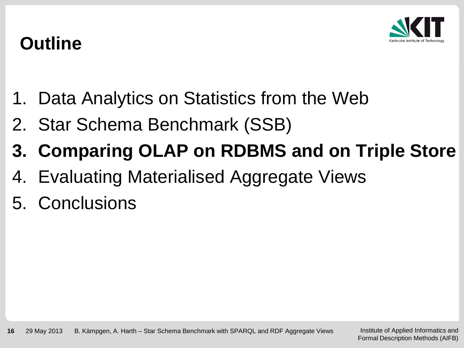

### **Outline**

- 1. Data Analytics on Statistics from the Web
- 2. Star Schema Benchmark (SSB)
- **3. Comparing OLAP on RDBMS and on Triple Store**
- 4. Evaluating Materialised Aggregate Views
- 5. Conclusions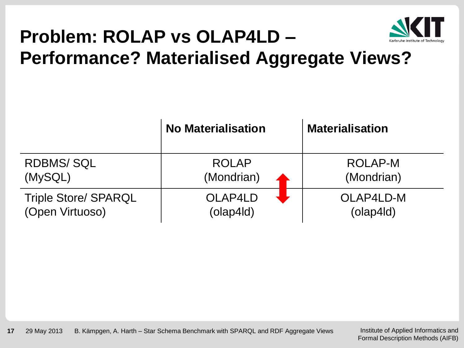

# **Problem: ROLAP vs OLAP4LD –**

#### **Performance? Materialised Aggregate Views?**

|                             | <b>No Materialisation</b> | <b>Materialisation</b> |
|-----------------------------|---------------------------|------------------------|
| <b>RDBMS/SQL</b>            | <b>ROLAP</b>              | ROLAP-M                |
| (MySQL)                     | (Mondrian)                | (Mondrian)             |
| <b>Triple Store/ SPARQL</b> | OLAP4LD                   | OLAP4LD-M              |
| (Open Virtuoso)             | (olap4ld)                 | $\alpha$ (olap4ld)     |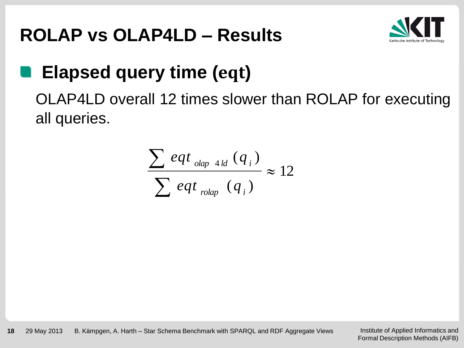### **ROLAP vs OLAP4LD – Results**



### **Elapsed query time (eqt)**

OLAP4LD overall 12 times slower than ROLAP for executing all queries.

$$
\frac{\sum eqt_{\text{olap 4ld}}(q_i)}{\sum eqt_{\text{rolap}}(q_i)} \approx 12
$$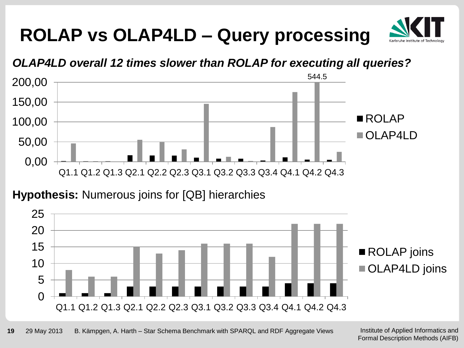



#### **Hypothesis:** Numerous joins for [QB] hierarchies

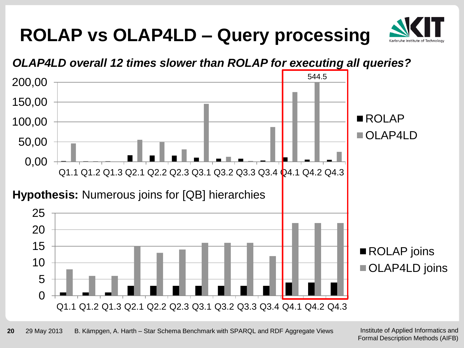

#### *OLAP4LD overall 12 times slower than ROLAP for executing all queries?*

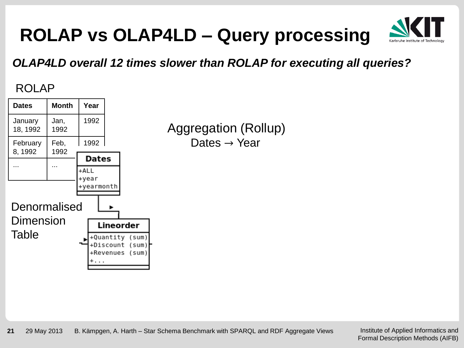

#### *OLAP4LD overall 12 times slower than ROLAP for executing all queries?*

#### ROLAP



Aggregation (Rollup) Dates  $\rightarrow$  Year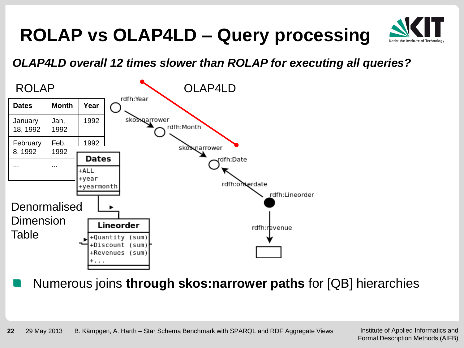

#### *OLAP4LD overall 12 times slower than ROLAP for executing all queries?*



Numerous joins **through skos:narrower paths** for [QB] hierarchies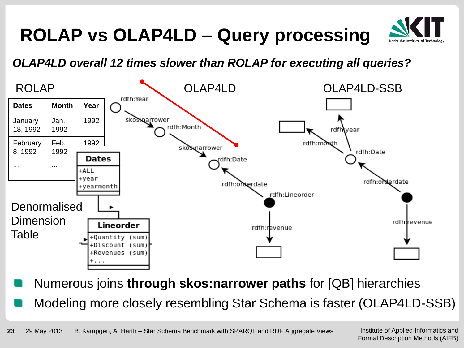

#### *OLAP4LD overall 12 times slower than ROLAP for executing all queries?*



Numerous joins **through skos:narrower paths** for [QB] hierarchies

Modeling more closely resembling Star Schema is faster (OLAP4LD-SSB)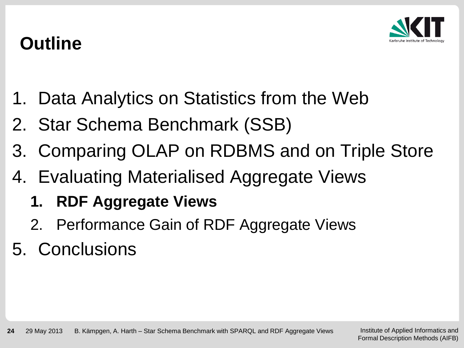

### **Outline**

- 1. Data Analytics on Statistics from the Web
- 2. Star Schema Benchmark (SSB)
- 3. Comparing OLAP on RDBMS and on Triple Store
- 4. Evaluating Materialised Aggregate Views
	- **1. RDF Aggregate Views**
	- 2. Performance Gain of RDF Aggregate Views
- 5. Conclusions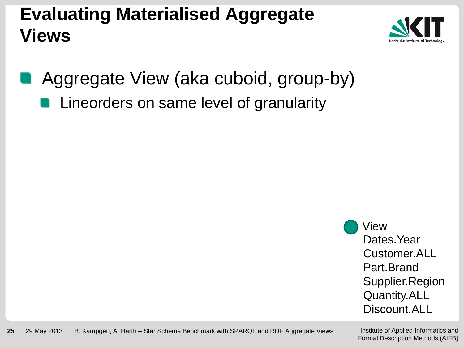### **Evaluating Materialised Aggregate Views**



Aggregate View (aka cuboid, group-by)

Lineorders on same level of granularity

Dates.Year Customer.ALL Part.Brand Supplier.Region Quantity.ALL Discount.ALL View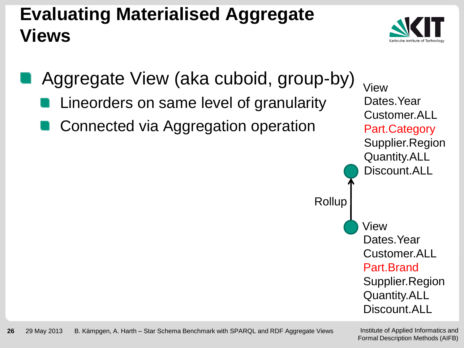### **Evaluating Materialised Aggregate Views**





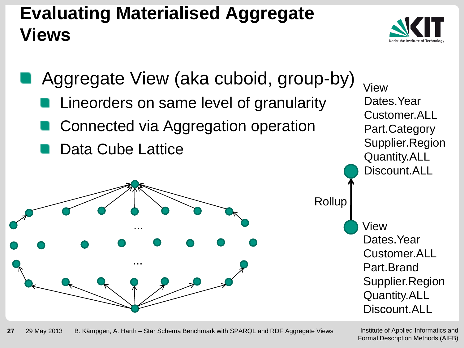### **Evaluating Materialised Aggregate Views**



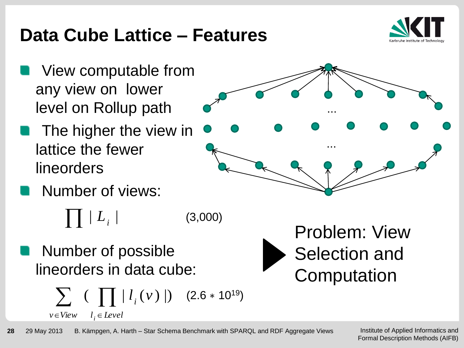### View computable from

- any view on lower level on Rollup path
- The higher the view in lattice the fewer lineorders

Number of views:

 $\prod \mid L_{_{i}} \mid$ (3,000)

Number of possible lineorders in data cube:

$$
\sum_{v \in View} \left( \prod_{i \in Level} |l_i(v)| \right) \quad (2.6 * 10^{19})
$$

#### **28** 29 May 2013 B. Kämpgen, A. Harth – Star Schema Benchmark with SPARQL and RDF Aggregate Views







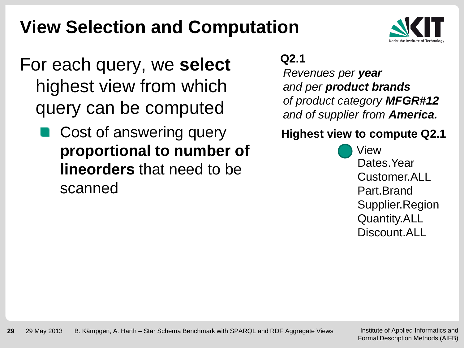### **View Selection and Computation**



- For each query, we **select** highest view from which query can be computed
	- Cost of answering query **proportional to number of lineorders** that need to be scanned

#### **Q2.1**

*Revenues per year and per product brands of product category MFGR#12 and of supplier from America.*

#### **Highest view to compute Q2.1**

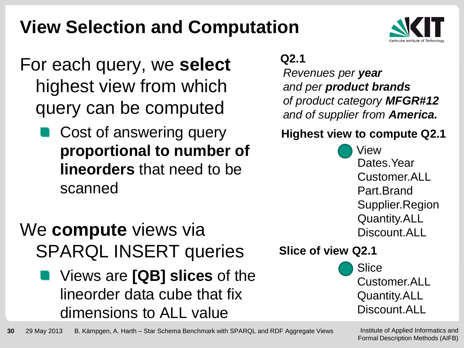### **View Selection and Computation**

- For each query, we **select** highest view from which query can be computed
	- Cost of answering query **proportional to number of lineorders** that need to be scanned

### We **compute** views via SPARQL INSERT queries

Views are **[QB] slices** of the lineorder data cube that fix dimensions to ALL value

#### **Q2.1**

*Revenues per year and per product brands of product category MFGR#12 and of supplier from America.*

#### **Highest view to compute Q2.1**



#### **Slice of view Q2.1**



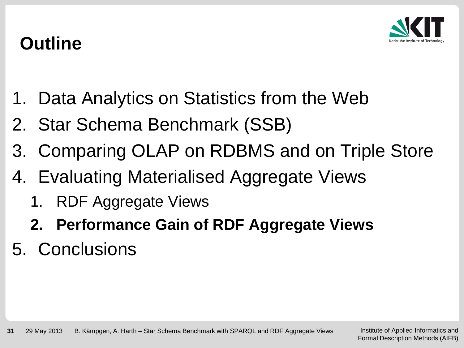

### **Outline**

- 1. Data Analytics on Statistics from the Web
- 2. Star Schema Benchmark (SSB)
- 3. Comparing OLAP on RDBMS and on Triple Store
- 4. Evaluating Materialised Aggregate Views
	- 1. RDF Aggregate Views
	- **2. Performance Gain of RDF Aggregate Views**
- 5. Conclusions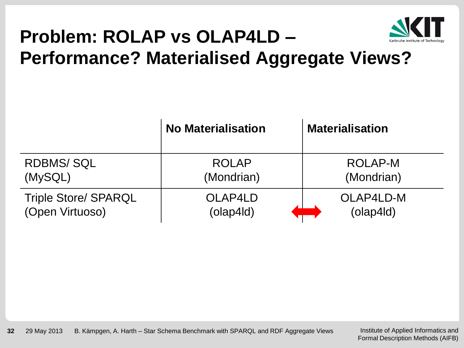

# **Problem: ROLAP vs OLAP4LD –**

**Performance? Materialised Aggregate Views?**

|                             | <b>No Materialisation</b> | <b>Materialisation</b> |
|-----------------------------|---------------------------|------------------------|
| <b>RDBMS/SQL</b>            | <b>ROLAP</b>              | ROLAP-M                |
| (MySQL)                     | (Mondrian)                | (Mondrian)             |
| <b>Triple Store/ SPARQL</b> | OLAP4LD                   | OLAP4LD-M              |
| (Open Virtuoso)             | (olap4ld)                 | $\alpha$ (olap4ld)     |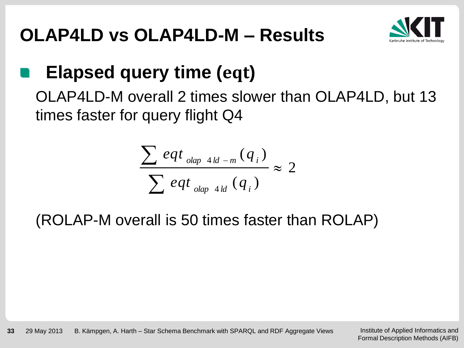### **OLAP4LD vs OLAP4LD-M – Results**



## **Elapsed query time (eqt)**

OLAP4LD-M overall 2 times slower than OLAP4LD, but 13 times faster for query flight Q4

$$
\frac{\sum eqt_{\text{olap 4ld-m}}(q_i)}{\sum eqt_{\text{olap 4ld}}(q_i)} \approx 2
$$

(ROLAP-M overall is 50 times faster than ROLAP)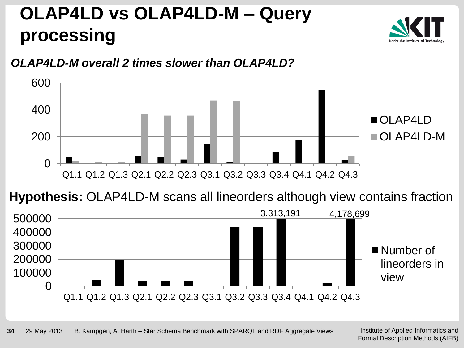

#### *OLAP4LD-M overall 2 times slower than OLAP4LD?*



**Hypothesis:** OLAP4LD-M scans all lineorders although view contains fraction

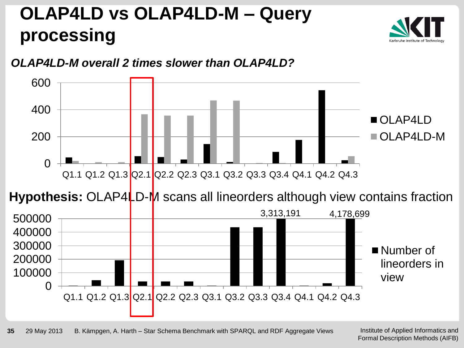

#### *OLAP4LD-M overall 2 times slower than OLAP4LD?*



**Hypothesis:** OLAP4LD-M scans all lineorders although view contains fraction

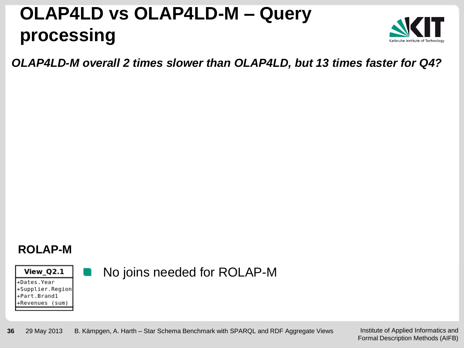

*OLAP4LD-M overall 2 times slower than OLAP4LD, but 13 times faster for Q4?*

#### **ROLAP-M**

View\_Q2.1

+Dates.Year +Supplier.Region +Part.Brand1 +Revenues (sum)

#### No joins needed for ROLAP-M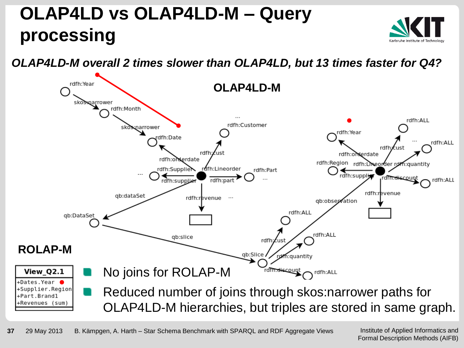*OLAP4LD-M overall 2 times slower than OLAP4LD, but 13 times faster for Q4?*



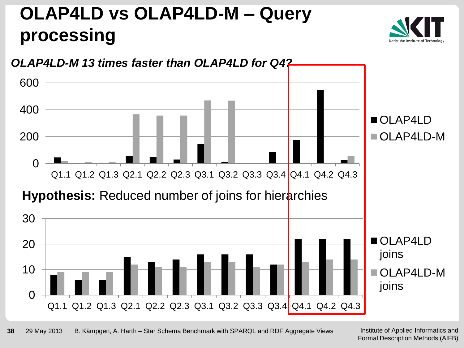

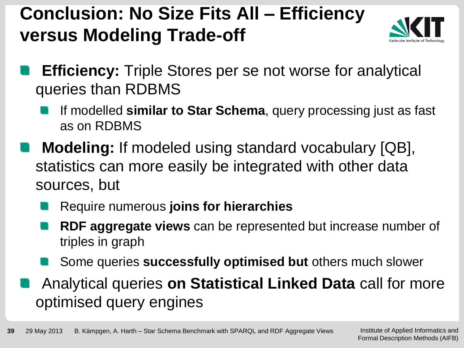### **Conclusion: No Size Fits All – Efficiency versus Modeling Trade-off**



- **Efficiency:** Triple Stores per se not worse for analytical queries than RDBMS
	- If modelled **similar to Star Schema**, query processing just as fast as on RDBMS
- **Modeling:** If modeled using standard vocabulary [QB], statistics can more easily be integrated with other data sources, but
	- Require numerous **joins for hierarchies**
	- **RDF aggregate views** can be represented but increase number of triples in graph
	- Some queries **successfully optimised but** others much slower
- Analytical queries **on Statistical Linked Data** call for more optimised query engines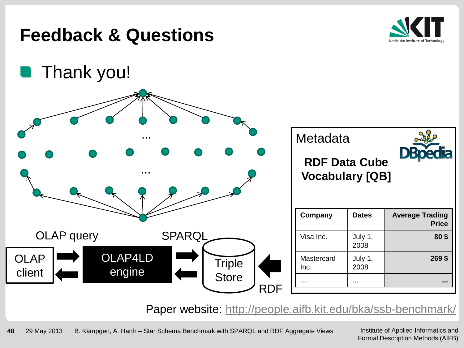

Paper website: http://people.aifb.kit.edu/bka/ssb-benchmark/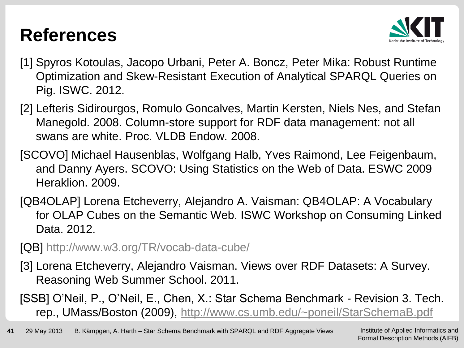#### **References**



- [1] Spyros Kotoulas, Jacopo Urbani, Peter A. Boncz, Peter Mika: Robust Runtime Optimization and Skew-Resistant Execution of Analytical SPARQL Queries on Pig. ISWC. 2012.
- [2] Lefteris Sidirourgos, Romulo Goncalves, Martin Kersten, Niels Nes, and Stefan Manegold. 2008. Column-store support for RDF data management: not all swans are white. Proc. VLDB Endow. 2008.
- [SCOVO] Michael Hausenblas, Wolfgang Halb, Yves Raimond, Lee Feigenbaum, and Danny Ayers. SCOVO: Using Statistics on the Web of Data. ESWC 2009 Heraklion. 2009.
- [QB4OLAP] Lorena Etcheverry, Alejandro A. Vaisman: QB4OLAP: A Vocabulary for OLAP Cubes on the Semantic Web. ISWC Workshop on Consuming Linked Data. 2012.
- [QB] <http://www.w3.org/TR/vocab-data-cube/>
- [3] Lorena Etcheverry, Alejandro Vaisman. Views over RDF Datasets: A Survey. Reasoning Web Summer School. 2011.
- [SSB] O'Neil, P., O'Neil, E., Chen, X.: Star Schema Benchmark Revision 3. Tech. rep., UMass/Boston (2009), <http://www.cs.umb.edu/~poneil/StarSchemaB.pdf>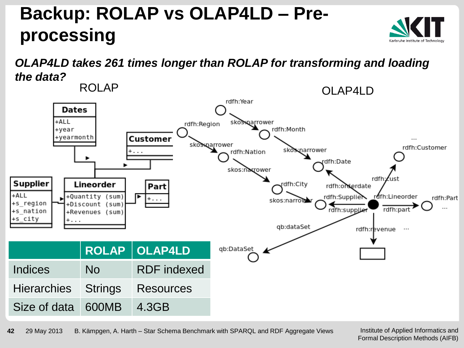### **Backup: ROLAP vs OLAP4LD – Preprocessing**

#### *OLAP4LD takes 261 times longer than ROLAP for transforming and loading the data?*



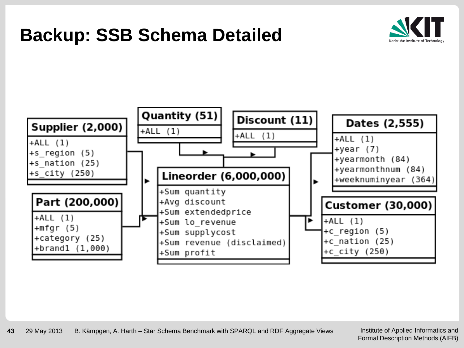#### **Backup: SSB Schema Detailed**



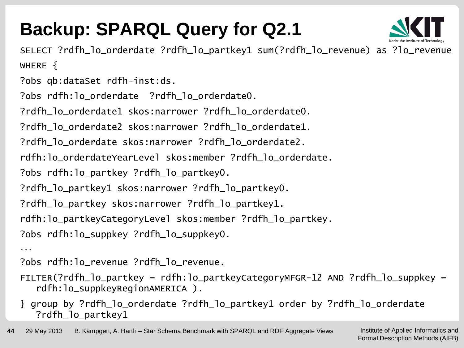## **Backup: SPARQL Query for Q2.1**



SELECT ?rdfh\_lo\_orderdate ?rdfh\_lo\_partkey1 sum(?rdfh\_lo\_revenue) as ?lo\_revenue WHERE {

?obs qb:dataSet rdfh-inst:ds.

?obs rdfh:lo\_orderdate ?rdfh\_lo\_orderdate0.

?rdfh\_lo\_orderdate1 skos:narrower ?rdfh\_lo\_orderdate0.

?rdfh\_lo\_orderdate2 skos:narrower ?rdfh\_lo\_orderdate1.

?rdfh\_lo\_orderdate skos:narrower ?rdfh\_lo\_orderdate2.

rdfh:lo\_orderdateYearLevel skos:member ?rdfh\_lo\_orderdate.

?obs rdfh:lo\_partkey ?rdfh\_lo\_partkey0.

?rdfh\_lo\_partkey1 skos:narrower ?rdfh\_lo\_partkey0.

?rdfh\_lo\_partkey skos:narrower ?rdfh\_lo\_partkey1.

rdfh:lo\_partkeyCategoryLevel skos:member ?rdfh\_lo\_partkey.

?obs rdfh:lo\_suppkey ?rdfh\_lo\_suppkey0.

...

?obs rdfh:lo\_revenue ?rdfh\_lo\_revenue.

- FILTER(?rdfh\_lo\_partkey = rdfh:lo\_partkeyCategoryMFGR-12 AND ?rdfh\_lo\_suppkey = rdfh:lo\_suppkeyRegionAMERICA ).
- } group by ?rdfh\_lo\_orderdate ?rdfh\_lo\_partkey1 order by ?rdfh\_lo\_orderdate ?rdfh\_lo\_partkey1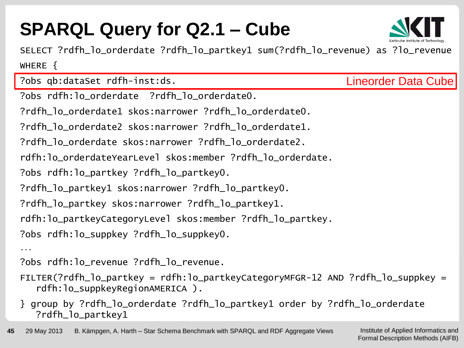## **SPARQL Query for Q2.1 – Cube**



SELECT ?rdfh\_lo\_orderdate ?rdfh\_lo\_partkey1 sum(?rdfh\_lo\_revenue) as ?lo\_revenue WHERE {

?obs qb:dataSet rdfh-inst:ds. ?obs rdfh:lo\_orderdate ?rdfh\_lo\_orderdate0. ?rdfh\_lo\_orderdate1 skos:narrower ?rdfh\_lo\_orderdate0. ?rdfh\_lo\_orderdate2 skos:narrower ?rdfh\_lo\_orderdate1. ?rdfh\_lo\_orderdate skos:narrower ?rdfh\_lo\_orderdate2. rdfh:lo\_orderdateYearLevel skos:member ?rdfh\_lo\_orderdate. ?obs rdfh:lo\_partkey ?rdfh\_lo\_partkey0. ?rdfh\_lo\_partkey1 skos:narrower ?rdfh\_lo\_partkey0. ?rdfh\_lo\_partkey skos:narrower ?rdfh\_lo\_partkey1. rdfh:lo\_partkeyCategoryLevel skos:member ?rdfh\_lo\_partkey. ?obs rdfh:lo\_suppkey ?rdfh\_lo\_suppkey0. ... Lineorder Data Cube

?obs rdfh:lo\_revenue ?rdfh\_lo\_revenue.

- FILTER(?rdfh\_lo\_partkey = rdfh:lo\_partkeyCategoryMFGR-12 AND ?rdfh\_lo\_suppkey = rdfh:lo\_suppkeyRegionAMERICA ).
- } group by ?rdfh\_lo\_orderdate ?rdfh\_lo\_partkey1 order by ?rdfh\_lo\_orderdate ?rdfh\_lo\_partkey1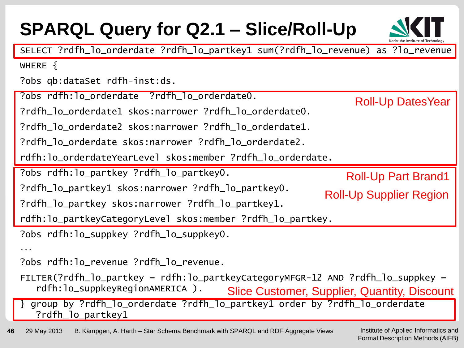| <b>SPARQL Query for Q2.1 - Slice/Roll-Up</b>                                                                        |                                              |
|---------------------------------------------------------------------------------------------------------------------|----------------------------------------------|
| SELECT ?rdfh_lo_orderdate ?rdfh_lo_partkey1 sum(?rdfh_lo_revenue) as ?lo_revenue                                    |                                              |
| WHERE $\{$                                                                                                          |                                              |
| ?obs qb:dataSet rdfh-inst:ds.                                                                                       |                                              |
| ?obs rdfh:lo_orderdate ?rdfh_lo_orderdate0.                                                                         | <b>Roll-Up DatesYear</b>                     |
|                                                                                                                     |                                              |
| ?rdfh_lo_orderdate2 skos:narrower ?rdfh_lo_orderdate1.                                                              |                                              |
| ?rdfh_lo_orderdate skos:narrower ?rdfh_lo_orderdate2.                                                               |                                              |
| rdfh:lo_orderdateYearLevel skos:member ?rdfh_lo_orderdate.                                                          |                                              |
| ?obs rdfh:lo_partkey ?rdfh_lo_partkey0.                                                                             | <b>Roll-Up Part Brand1</b>                   |
| ?rdfh_lo_partkey1 skos:narrower ?rdfh_lo_partkey0.                                                                  | <b>Roll-Up Supplier Region</b>               |
| ?rdfh_lo_partkey skos:narrower ?rdfh_lo_partkey1.                                                                   |                                              |
| rdfh:lo_partkeyCategoryLevel skos:member ?rdfh_lo_partkey.                                                          |                                              |
| ?obs rdfh:lo_suppkey ?rdfh_lo_suppkey0.                                                                             |                                              |
|                                                                                                                     |                                              |
| ?obs rdfh:lo_revenue ?rdfh_lo_revenue.                                                                              |                                              |
| $FLITER(?rdfh_lo_partkey = rdfh:lo_partkeyCategoryMFGR-12 AND ?rdfh_lo_suppkey =$<br>rdfh:lo_suppkeyRegionAMERICA). | Slice Customer, Supplier, Quantity, Discount |
| group by ?rdfh_lo_orderdate ?rdfh_lo_partkey1 order by ?rdfh_lo_orderdate<br>$\downarrow$<br>?rdfh_lo_partkey1      |                                              |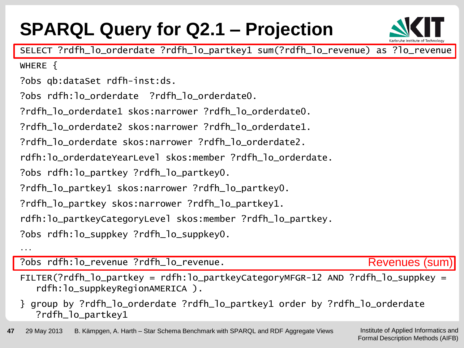### **SPARQL Query for Q2.1 – Projection**



SELECT ?rdfh\_lo\_orderdate ?rdfh\_lo\_partkey1 sum(?rdfh\_lo\_revenue) as ?lo\_revenue

WHERE  $\{$ 

?obs qb:dataSet rdfh-inst:ds.

?obs rdfh:lo\_orderdate ?rdfh\_lo\_orderdate0.

?rdfh\_lo\_orderdate1 skos:narrower ?rdfh\_lo\_orderdate0.

?rdfh\_lo\_orderdate2 skos:narrower ?rdfh\_lo\_orderdate1.

?rdfh\_lo\_orderdate skos:narrower ?rdfh\_lo\_orderdate2.

rdfh:lo\_orderdateYearLevel skos:member ?rdfh\_lo\_orderdate.

?obs rdfh:lo\_partkey ?rdfh\_lo\_partkey0.

?rdfh\_lo\_partkey1 skos:narrower ?rdfh\_lo\_partkey0.

?rdfh\_lo\_partkey skos:narrower ?rdfh\_lo\_partkey1.

rdfh:lo\_partkeyCategoryLevel skos:member ?rdfh\_lo\_partkey.

?obs rdfh:lo\_suppkey ?rdfh\_lo\_suppkey0.

...

?obs rdfh:lo\_revenue ?rdfh\_lo\_revenue.

Revenues (sum)

FILTER(?rdfh\_lo\_partkey = rdfh:lo\_partkeyCategoryMFGR-12 AND ?rdfh\_lo\_suppkey = rdfh:lo\_suppkeyRegionAMERICA ).

} group by ?rdfh\_lo\_orderdate ?rdfh\_lo\_partkey1 order by ?rdfh\_lo\_orderdate ?rdfh\_lo\_partkey1